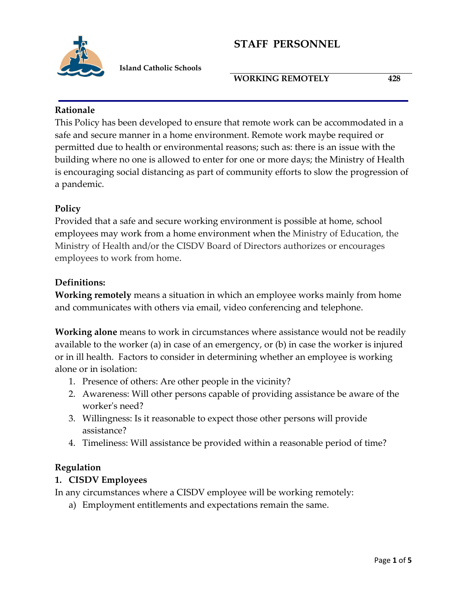

 **Island Catholic Schools**

### **WORKING REMOTELY 428**

#### **Rationale**

This Policy has been developed to ensure that remote work can be accommodated in a safe and secure manner in a home environment. Remote work maybe required or permitted due to health or environmental reasons; such as: there is an issue with the building where no one is allowed to enter for one or more days; the Ministry of Health is encouraging social distancing as part of community efforts to slow the progression of a pandemic.

## **Policy**

Provided that a safe and secure working environment is possible at home, school employees may work from a home environment when the Ministry of Education, the Ministry of Health and/or the CISDV Board of Directors authorizes or encourages employees to work from home.

## **Definitions:**

**Working remotely** means a situation in which an employee works mainly from home and communicates with others via email, video conferencing and telephone.

**Working alone** means to work in circumstances where assistance would not be readily available to the worker (a) in case of an emergency, or (b) in case the worker is injured or in ill health. Factors to consider in determining whether an employee is working alone or in isolation:

- 1. Presence of others: Are other people in the vicinity?
- 2. Awareness: Will other persons capable of providing assistance be aware of the worker's need?
- 3. Willingness: Is it reasonable to expect those other persons will provide assistance?
- 4. Timeliness: Will assistance be provided within a reasonable period of time?

## **Regulation**

## **1. CISDV Employees**

In any circumstances where a CISDV employee will be working remotely:

a) Employment entitlements and expectations remain the same.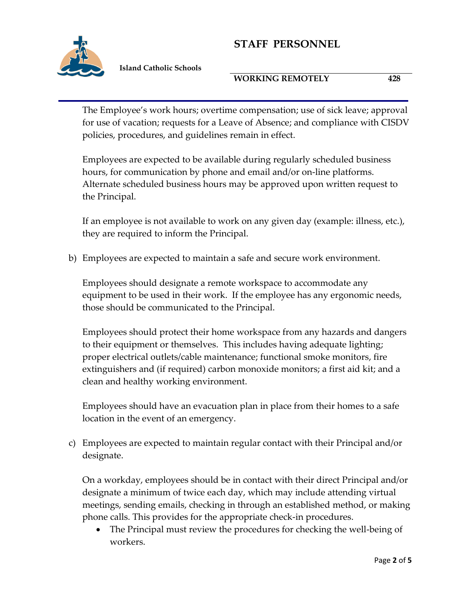

 **Island Catholic Schools**

#### **WORKING REMOTELY 428**

The Employee's work hours; overtime compensation; use of sick leave; approval for use of vacation; requests for a Leave of Absence; and compliance with CISDV policies, procedures, and guidelines remain in effect.

Employees are expected to be available during regularly scheduled business hours, for communication by phone and email and/or on-line platforms. Alternate scheduled business hours may be approved upon written request to the Principal.

If an employee is not available to work on any given day (example: illness, etc.), they are required to inform the Principal.

b) Employees are expected to maintain a safe and secure work environment.

Employees should designate a remote workspace to accommodate any equipment to be used in their work. If the employee has any ergonomic needs, those should be communicated to the Principal.

Employees should protect their home workspace from any hazards and dangers to their equipment or themselves. This includes having adequate lighting; proper electrical outlets/cable maintenance; functional smoke monitors, fire extinguishers and (if required) carbon monoxide monitors; a first aid kit; and a clean and healthy working environment.

Employees should have an evacuation plan in place from their homes to a safe location in the event of an emergency.

c) Employees are expected to maintain regular contact with their Principal and/or designate.

On a workday, employees should be in contact with their direct Principal and/or designate a minimum of twice each day, which may include attending virtual meetings, sending emails, checking in through an established method, or making phone calls. This provides for the appropriate check-in procedures.

 The Principal must review the procedures for checking the well-being of workers.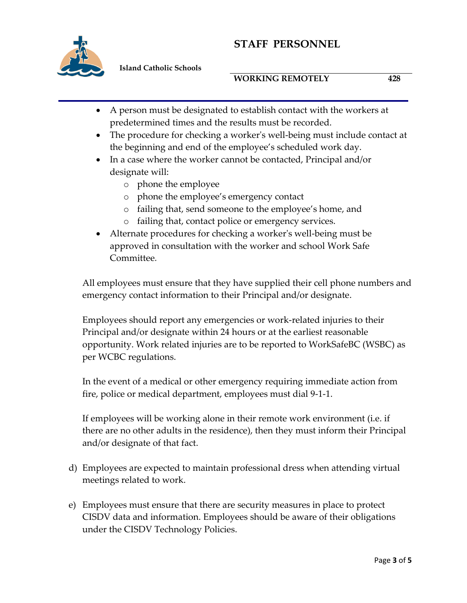

 **Island Catholic Schools**

#### **WORKING REMOTELY 428**

- A person must be designated to establish contact with the workers at predetermined times and the results must be recorded.
- The procedure for checking a worker's well-being must include contact at the beginning and end of the employee's scheduled work day.
- In a case where the worker cannot be contacted, Principal and/or designate will:
	- o phone the employee
	- o phone the employee's emergency contact
	- o failing that, send someone to the employee's home, and
	- o failing that, contact police or emergency services.
- Alternate procedures for checking a worker's well-being must be approved in consultation with the worker and school Work Safe Committee*.*

All employees must ensure that they have supplied their cell phone numbers and emergency contact information to their Principal and/or designate.

Employees should report any emergencies or work‐related injuries to their Principal and/or designate within 24 hours or at the earliest reasonable opportunity. Work related injuries are to be reported to WorkSafeBC (WSBC) as per WCBC regulations.

In the event of a medical or other emergency requiring immediate action from fire, police or medical department, employees must dial 9-1-1.

If employees will be working alone in their remote work environment (i.e. if there are no other adults in the residence), then they must inform their Principal and/or designate of that fact.

- d) Employees are expected to maintain professional dress when attending virtual meetings related to work.
- e) Employees must ensure that there are security measures in place to protect CISDV data and information. Employees should be aware of their obligations under the CISDV Technology Policies.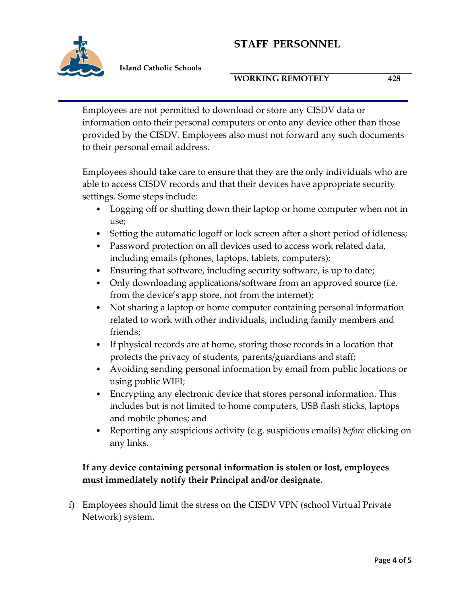

 **Island Catholic Schools**

#### **WORKING REMOTELY 428**

Employees are not permitted to download or store any CISDV data or information onto their personal computers or onto any device other than those provided by the CISDV. Employees also must not forward any such documents to their personal email address.

Employees should take care to ensure that they are the only individuals who are able to access CISDV records and that their devices have appropriate security settings. Some steps include:

- Logging off or shutting down their laptop or home computer when not in use;
- Setting the automatic logoff or lock screen after a short period of idleness;
- Password protection on all devices used to access work related data, including emails (phones, laptops, tablets, computers);
- Ensuring that software, including security software, is up to date;
- Only downloading applications/software from an approved source (i.e. from the device's app store, not from the internet);
- Not sharing a laptop or home computer containing personal information related to work with other individuals, including family members and friends;
- If physical records are at home, storing those records in a location that protects the privacy of students, parents/guardians and staff;
- Avoiding sending personal information by email from public locations or using public WIFI;
- Encrypting any electronic device that stores personal information. This includes but is not limited to home computers, USB flash sticks, laptops and mobile phones; and
- Reporting any suspicious activity (e.g. suspicious emails) *before* clicking on any links.

# **If any device containing personal information is stolen or lost, employees must immediately notify their Principal and/or designate.**

f) Employees should limit the stress on the CISDV VPN (school Virtual Private Network) system.